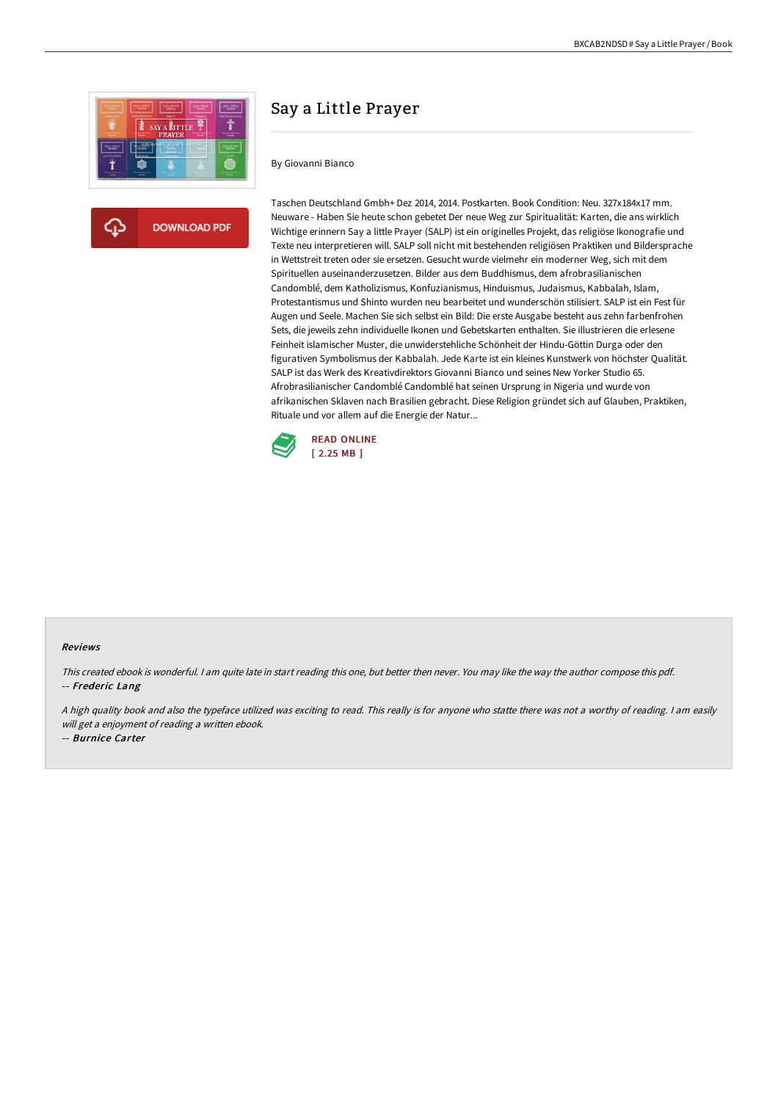

**DOWNLOAD PDF** 

# Say a Little Prayer

#### By Giovanni Bianco

Taschen Deutschland Gmbh+ Dez 2014, 2014. Postkarten. Book Condition: Neu. 327x184x17 mm. Neuware - Haben Sie heute schon gebetet Der neue Weg zur Spiritualität: Karten, die ans wirklich Wichtige erinnern Say a little Prayer (SALP) ist ein originelles Projekt, das religiöse Ikonografie und Texte neu interpretieren will. SALP soll nicht mit bestehenden religiösen Praktiken und Bildersprache in Wettstreit treten oder sie ersetzen. Gesucht wurde vielmehr ein moderner Weg, sich mit dem Spirituellen auseinanderzusetzen. Bilder aus dem Buddhismus, dem afrobrasilianischen Candomblé, dem Katholizismus, Konfuzianismus, Hinduismus, Judaismus, Kabbalah, Islam, Protestantismus und Shinto wurden neu bearbeitet und wunderschön stilisiert. SALP ist ein Fest für Augen und Seele. Machen Sie sich selbst ein Bild: Die erste Ausgabe besteht aus zehn farbenfrohen Sets, die jeweils zehn individuelle Ikonen und Gebetskarten enthalten. Sie illustrieren die erlesene Feinheit islamischer Muster, die unwiderstehliche Schönheit der Hindu-Göttin Durga oder den figurativen Symbolismus der Kabbalah. Jede Karte ist ein kleines Kunstwerk von höchster Qualität. SALP ist das Werk des Kreativdirektors Giovanni Bianco und seines New Yorker Studio 65. Afrobrasilianischer Candomblé Candomblé hat seinen Ursprung in Nigeria und wurde von afrikanischen Sklaven nach Brasilien gebracht. Diese Religion gründet sich auf Glauben, Praktiken, Rituale und vor allem auf die Energie der Natur...



#### Reviews

This created ebook is wonderful. <sup>I</sup> am quite late in start reading this one, but better then never. You may like the way the author compose this pdf. -- Frederic Lang

<sup>A</sup> high quality book and also the typeface utilized was exciting to read. This really is for anyone who statte there was not <sup>a</sup> worthy of reading. <sup>I</sup> am easily will get a enjoyment of reading a written ebook.

-- Burnice Carter